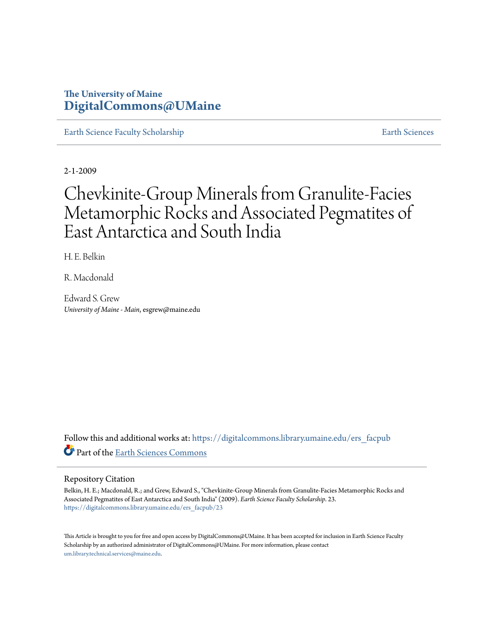# **The University of Maine [DigitalCommons@UMaine](https://digitalcommons.library.umaine.edu?utm_source=digitalcommons.library.umaine.edu%2Fers_facpub%2F23&utm_medium=PDF&utm_campaign=PDFCoverPages)**

[Earth Science Faculty Scholarship](https://digitalcommons.library.umaine.edu/ers_facpub?utm_source=digitalcommons.library.umaine.edu%2Fers_facpub%2F23&utm_medium=PDF&utm_campaign=PDFCoverPages) **[Earth Sciences](https://digitalcommons.library.umaine.edu/ers?utm_source=digitalcommons.library.umaine.edu%2Fers_facpub%2F23&utm_medium=PDF&utm_campaign=PDFCoverPages)** 

2-1-2009

# Chevkinite-Group Minerals from Granulite-Facies Metamorphic Rocks and Associated Pegmatites of East Antarctica and South India

H. E. Belkin

R. Macdonald

Edward S. Grew *University of Maine - Main*, esgrew@maine.edu

Follow this and additional works at: [https://digitalcommons.library.umaine.edu/ers\\_facpub](https://digitalcommons.library.umaine.edu/ers_facpub?utm_source=digitalcommons.library.umaine.edu%2Fers_facpub%2F23&utm_medium=PDF&utm_campaign=PDFCoverPages) Part of the [Earth Sciences Commons](http://network.bepress.com/hgg/discipline/153?utm_source=digitalcommons.library.umaine.edu%2Fers_facpub%2F23&utm_medium=PDF&utm_campaign=PDFCoverPages)

# Repository Citation

Belkin, H. E.; Macdonald, R.; and Grew, Edward S., "Chevkinite-Group Minerals from Granulite-Facies Metamorphic Rocks and Associated Pegmatites of East Antarctica and South India" (2009). *Earth Science Faculty Scholarship*. 23. [https://digitalcommons.library.umaine.edu/ers\\_facpub/23](https://digitalcommons.library.umaine.edu/ers_facpub/23?utm_source=digitalcommons.library.umaine.edu%2Fers_facpub%2F23&utm_medium=PDF&utm_campaign=PDFCoverPages)

This Article is brought to you for free and open access by DigitalCommons@UMaine. It has been accepted for inclusion in Earth Science Faculty Scholarship by an authorized administrator of DigitalCommons@UMaine. For more information, please contact [um.library.technical.services@maine.edu](mailto:um.library.technical.services@maine.edu).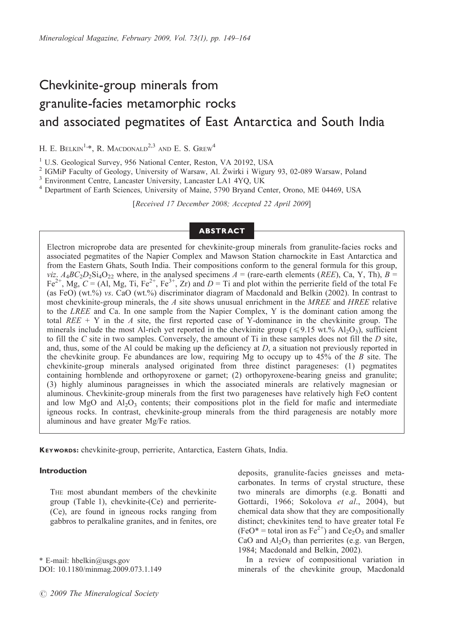# Chevkinite-group minerals from granulite-facies metamorphic rocks and associated pegmatites of East Antarctica and South India

H. E. BELKIN<sup>1,\*</sup>, R. MACDONALD<sup>2,3</sup> AND E. S. GREW<sup>4</sup>

<sup>1</sup> U.S. Geological Survey, 956 National Center, Reston, VA 20192, USA

<sup>2</sup> IGMiP Faculty of Geology, University of Warsaw, Al. Żwirki i Wigury 93, 02-089 Warsaw, Poland  $3$  Environment Centre, Lancaster University, Lancaster LA1 4YQ, UK

<sup>4</sup> Department of Earth Sciences, University of Maine, 5790 Bryand Center, Orono, ME 04469, USA

[Received 17 December 2008; Accepted 22 April 2009]

# ABSTRACT

Electron microprobe data are presented for chevkinite-group minerals from granulite-facies rocks and associated pegmatites of the Napier Complex and Mawson Station charnockite in East Antarctica and from the Eastern Ghats, South India. Their compositions conform to the general formula for this group, viz.  $A_4BC_2D_2Si_4O_{22}$  where, in the analysed specimens  $A =$  (rare-earth elements (REE), Ca, Y, Th),  $B =$  $Fe^{2+}$ , Mg,  $C = (AI, Mg, Ti, Fe^{2+}$ ,  $Fe^{3+}$ , Zr) and  $D = Ti$  and plot within the perrierite field of the total Fe (as FeO) (wt.%) vs. CaO (wt.%) discriminator diagram of Macdonald and Belkin (2002). In contrast to most chevkinite-group minerals, the  $\Lambda$  site shows unusual enrichment in the MREE and HREE relative to the LREE and Ca. In one sample from the Napier Complex, Y is the dominant cation among the total  $REE + Y$  in the A site, the first reported case of Y-dominance in the chevkinite group. The minerals include the most Al-rich yet reported in the chevkinite group ( $\leq 9.15$  wt.% Al<sub>2</sub>O<sub>3</sub>), sufficient to fill the C site in two samples. Conversely, the amount of  $Ti$  in these samples does not fill the  $D$  site, and, thus, some of the Al could be making up the deficiency at  $D$ , a situation not previously reported in the chevkinite group. Fe abundances are low, requiring Mg to occupy up to  $45\%$  of the B site. The chevkinite-group minerals analysed originated from three distinct parageneses: (1) pegmatites containing hornblende and orthopyroxene or garnet; (2) orthopyroxene-bearing gneiss and granulite; (3) highly aluminous paragneisses in which the associated minerals are relatively magnesian or aluminous. Chevkinite-group minerals from the first two parageneses have relatively high FeO content and low MgO and  $A<sub>12</sub>O<sub>3</sub>$  contents; their compositions plot in the field for mafic and intermediate igneous rocks. In contrast, chevkinite-group minerals from the third paragenesis are notably more aluminous and have greater Mg/Fe ratios.

KEYWORDS: chevkinite-group, perrierite, Antarctica, Eastern Ghats, India.

#### Introduction

THE most abundant members of the chevkinite group (Table 1), chevkinite-(Ce) and perrierite- (Ce), are found in igneous rocks ranging from gabbros to peralkaline granites, and in fenites, ore

\* E-mail: hbelkin@usgs.gov DOI: 10.1180/minmag.2009.073.1.149 deposits, granulite-facies gneisses and metacarbonates. In terms of crystal structure, these two minerals are dimorphs (e.g. Bonatti and Gottardi, 1966; Sokolova et al., 2004), but chemical data show that they are compositionally distinct; chevkinites tend to have greater total Fe  $(FeO^* =$  total iron as  $Fe^{2+}$ ) and  $Ce_2O_3$  and smaller CaO and  $Al_2O_3$  than perrierites (e.g. van Bergen, 1984; Macdonald and Belkin, 2002).

In a review of compositional variation in minerals of the chevkinite group, Macdonald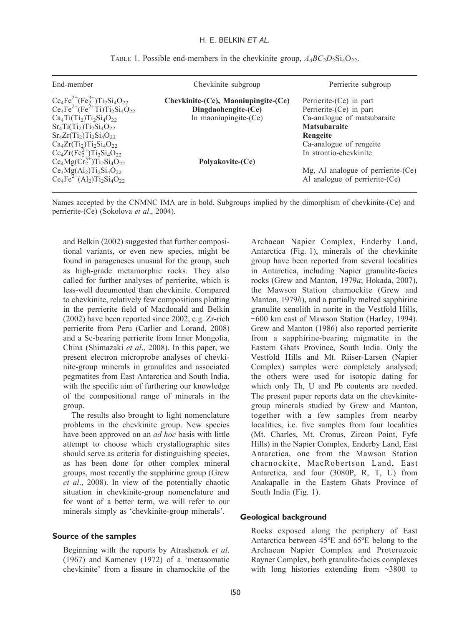| End-member                                                                                                                                                                                                               | Chevkinite subgroup                       | Perrierite subgroup                |
|--------------------------------------------------------------------------------------------------------------------------------------------------------------------------------------------------------------------------|-------------------------------------------|------------------------------------|
|                                                                                                                                                                                                                          | $Chevkinite-(Ce)$ , Maoniupingite- $(Ce)$ | Perrierite-(Ce) in part            |
| Ce <sub>4</sub> Fe <sup>2+</sup> (Fe <sub>2</sub> <sup>+</sup> )Ti <sub>2</sub> Si <sub>4</sub> O <sub>22</sub><br>Ce <sub>4</sub> Fe <sup>2+</sup> (Fe <sup>2+</sup> Ti)Ti <sub>2</sub> Si <sub>4</sub> O <sub>22</sub> | Dingdaohengite-(Ce)                       | Perrierite-(Ce) in part            |
| $Ca4Ti(Ti2)Ti2Si4O22$                                                                                                                                                                                                    | In maoniupingite-(Ce)                     | Ca-analogue of matsubaraite        |
| $Sr_4Ti(Ti_2)Ti_2Si_4O_{22}$                                                                                                                                                                                             |                                           | <b>Matsubaraite</b>                |
| $Sr_4Zr(Ti_2)Ti_2Si_4O_{22}$                                                                                                                                                                                             |                                           | Rengeite                           |
| $Ca_4Zr(Ti_2)Ti_2Si_4O_{22}$                                                                                                                                                                                             |                                           | Ca-analogue of rengeite            |
| $Ce_4Zr(Fe_2^{2+})Ti_2Si_4O_{22}$                                                                                                                                                                                        |                                           | In strontio-chevkinite             |
| $Ce_4Mg(Cr_2^{3+})Ti_2Si_4O_{22}$                                                                                                                                                                                        | Polyakovite-(Ce)                          |                                    |
|                                                                                                                                                                                                                          |                                           | Mg, Al analogue of perrierite-(Ce) |
| $Ce_4Mg(Al_2)Ti_2Si_4O_{22}$<br>$Ce_4Fe^{2+}(Al_2)Ti_2Si_4O_{22}$                                                                                                                                                        |                                           | Al analogue of perrierite-(Ce)     |

TABLE 1. Possible end-members in the chevkinite group,  $A_4BC_2D_2Si_4O_{22}$ .

Names accepted by the CNMNC IMA are in bold. Subgroups implied by the dimorphism of chevkinite-(Ce) and perrierite-(Ce) (Sokolova et al., 2004).

and Belkin (2002) suggested that further compositional variants, or even new species, might be found in parageneses unusual for the group, such as high-grade metamorphic rocks. They also called for further analyses of perrierite, which is less-well documented than chevkinite. Compared to chevkinite, relatively few compositions plotting in the perrierite field of Macdonald and Belkin (2002) have been reported since 2002, e.g. Zr-rich perrierite from Peru (Carlier and Lorand, 2008) and a Sc-bearing perrierite from Inner Mongolia, China (Shimazaki et al., 2008). In this paper, we present electron microprobe analyses of chevkinite-group minerals in granulites and associated pegmatites from East Antarctica and South India, with the specific aim of furthering our knowledge of the compositional range of minerals in the group.

The results also brought to light nomenclature problems in the chevkinite group. New species have been approved on an *ad hoc* basis with little attempt to choose which crystallographic sites should serve as criteria for distinguishing species, as has been done for other complex mineral groups, most recently the sapphirine group (Grew et al., 2008). In view of the potentially chaotic situation in chevkinite-group nomenclature and for want of a better term, we will refer to our minerals simply as 'chevkinite-group minerals'.

#### Source of the samples

Beginning with the reports by Atrashenok et al. (1967) and Kamenev (1972) of a 'metasomatic chevkinite' from a fissure in charnockite of the

Archaean Napier Complex, Enderby Land, Antarctica (Fig. 1), minerals of the chevkinite group have been reported from several localities in Antarctica, including Napier granulite-facies rocks (Grew and Manton, 1979a; Hokada, 2007), the Mawson Station charnockite (Grew and Manton, 1979b), and a partially melted sapphirine granulite xenolith in norite in the Vestfold Hills, ~600 km east of Mawson Station (Harley, 1994). Grew and Manton (1986) also reported perrierite from a sapphirine-bearing migmatite in the Eastern Ghats Province, South India. Only the Vestfold Hills and Mt. Riiser-Larsen (Napier Complex) samples were completely analysed; the others were used for isotopic dating for which only Th, U and Pb contents are needed. The present paper reports data on the chevkinitegroup minerals studied by Grew and Manton, together with a few samples from nearby localities, i.e. five samples from four localities (Mt. Charles, Mt. Cronus, Zircon Point, Fyfe Hills) in the Napier Complex, Enderby Land, East Antarctica, one from the Mawson Station charnockite, MacRobertson Land, East Antarctica, and four (3080P, R, T, U) from Anakapalle in the Eastern Ghats Province of South India (Fig. 1).

#### Geological background

Rocks exposed along the periphery of East Antarctica between 45ºE and 65ºE belong to the Archaean Napier Complex and Proterozoic Rayner Complex, both granulite-facies complexes with long histories extending from ~3800 to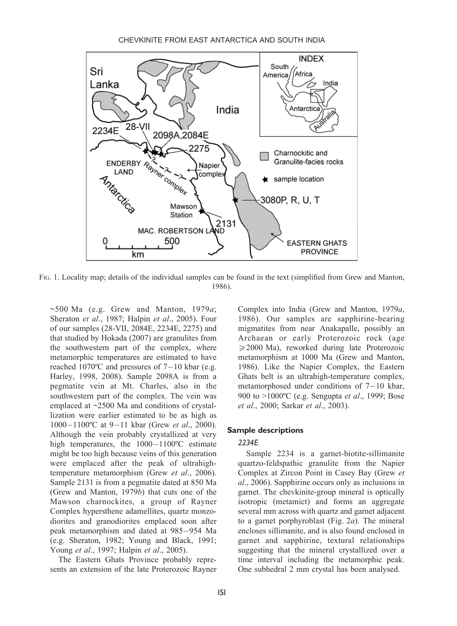

FIG. 1. Locality map; details of the individual samples can be found in the text (simplified from Grew and Manton, 1986).

 $\sim$ 500 Ma (e.g. Grew and Manton, 1979a; Sheraton et al., 1987; Halpin et al., 2005). Four of our samples (28-VII, 2084E, 2234E, 2275) and that studied by Hokada (2007) are granulites from the southwestern part of the complex, where metamorphic temperatures are estimated to have reached  $1070^{\circ}$ C and pressures of  $7-10$  kbar (e.g. Harley, 1998, 2008). Sample 2098A is from a pegmatite vein at Mt. Charles, also in the southwestern part of the complex. The vein was emplaced at ~2500 Ma and conditions of crystallization were earlier estimated to be as high as  $1000-1100$ °C at 9-11 kbar (Grew *et al.*, 2000). Although the vein probably crystallized at very high temperatures, the  $1000-1100$ <sup>o</sup>C estimate might be too high because veins of this generation were emplaced after the peak of ultrahightemperature metamorphism (Grew et al., 2006). Sample 2131 is from a pegmatite dated at 850 Ma (Grew and Manton, 1979b) that cuts one of the Mawson charnockites, a group of Rayner Complex hypersthene adamellites, quartz monzodiorites and granodiorites emplaced soon after peak metamorphism and dated at 985-954 Ma (e.g. Sheraton, 1982; Young and Black, 1991; Young et al., 1997; Halpin et al., 2005).

The Eastern Ghats Province probably represents an extension of the late Proterozoic Rayner Complex into India (Grew and Manton, 1979a, 1986). Our samples are sapphirine-bearing migmatites from near Anakapalle, possibly an Archaean or early Proterozoic rock (age  $\geq$ 2000 Ma), reworked during late Proterozoic metamorphism at 1000 Ma (Grew and Manton, 1986). Like the Napier Complex, the Eastern Ghats belt is an ultrahigh-temperature complex, metamorphosed under conditions of  $7-10$  kbar, 900 to  $>1000$ <sup>o</sup>C (e.g. Sengupta *et al.*, 1999; Bose et al., 2000; Sarkar et al., 2003).

# Sample descriptions

# 2234E

Sample 2234 is a garnet-biotite-sillimanite quartzo-feldspathic granulite from the Napier Complex at Zircon Point in Casey Bay (Grew et al., 2006). Sapphirine occurs only as inclusions in garnet. The chevkinite-group mineral is optically isotropic (metamict) and forms an aggregate several mm across with quartz and garnet adjacent to a garnet porphyroblast (Fig.  $2a$ ). The mineral encloses sillimanite, and is also found enclosed in garnet and sapphirine, textural relationships suggesting that the mineral crystallized over a time interval including the metamorphic peak. One subhedral 2 mm crystal has been analysed.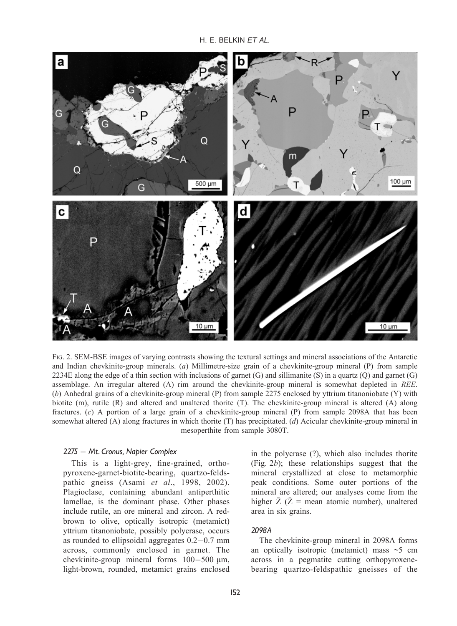H. E. BELKIN ET AL.



FIG. 2. SEM-BSE images of varying contrasts showing the textural settings and mineral associations of the Antarctic and Indian chevkinite-group minerals. (a) Millimetre-size grain of a chevkinite-group mineral (P) from sample 2234E along the edge of a thin section with inclusions of garnet (G) and sillimanite (S) in a quartz (O) and garnet (G) assemblage. An irregular altered (A) rim around the chevkinite-group mineral is somewhat depleted in REE. (b) Anhedral grains of a chevkinite-group mineral (P) from sample 2275 enclosed by yttrium titanoniobate (Y) with biotite (m), rutile (R) and altered and unaltered thorite (T). The chevkinite-group mineral is altered (A) along fractures. (c) A portion of a large grain of a chevkinite-group mineral (P) from sample 2098A that has been somewhat altered (A) along fractures in which thorite (T) has precipitated. (d) Acicular chevkinite-group mineral in mesoperthite from sample 3080T.

#### 2275 - Mt. Cronus, Napier Complex

This is a light-grey, fine-grained, orthopyroxene-garnet-biotite-bearing, quartzo-feldspathic gneiss (Asami et al., 1998, 2002). Plagioclase, containing abundant antiperthitic lamellae, is the dominant phase. Other phases include rutile, an ore mineral and zircon. A redbrown to olive, optically isotropic (metamict) yttrium titanoniobate, possibly polycrase, occurs as rounded to ellipsoidal aggregates  $0.2-0.7$  mm across, commonly enclosed in garnet. The chevkinite-group mineral forms  $100-500$  µm, light-brown, rounded, metamict grains enclosed in the polycrase (?), which also includes thorite (Fig. 2b); these relationships suggest that the mineral crystallized at close to metamorphic peak conditions. Some outer portions of the mineral are altered; our analyses come from the higher  $\bar{Z}$  ( $\bar{Z}$  = mean atomic number), unaltered area in six grains.

## 2098A

The chevkinite-group mineral in 2098A forms an optically isotropic (metamict) mass  $\sim$  5 cm across in a pegmatite cutting orthopyroxenebearing quartzo-feldspathic gneisses of the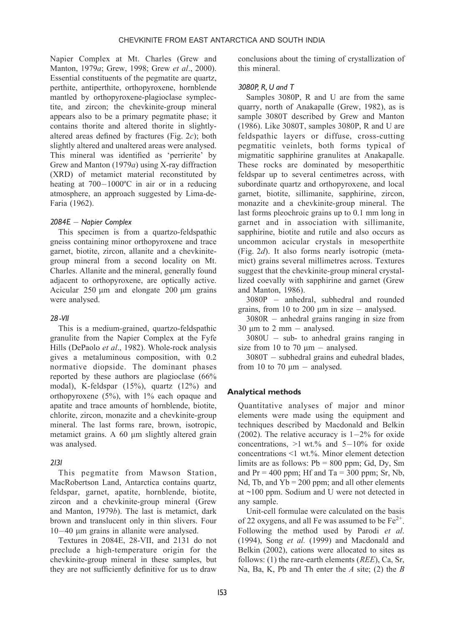Napier Complex at Mt. Charles (Grew and Manton, 1979a; Grew, 1998; Grew et al., 2000). Essential constituents of the pegmatite are quartz, perthite, antiperthite, orthopyroxene, hornblende mantled by orthopyroxene-plagioclase symplectite, and zircon; the chevkinite-group mineral appears also to be a primary pegmatite phase; it contains thorite and altered thorite in slightlyaltered areas defined by fractures (Fig. 2c); both slightly altered and unaltered areas were analysed. This mineral was identified as 'perrierite' by Grew and Manton (1979a) using X-ray diffraction (XRD) of metamict material reconstituted by heating at  $700-1000$ °C in air or in a reducing atmosphere, an approach suggested by Lima-de-Faria (1962).

# 2084E - Napier Complex

This specimen is from a quartzo-feldspathic gneiss containing minor orthopyroxene and trace garnet, biotite, zircon, allanite and a chevkinitegroup mineral from a second locality on Mt. Charles. Allanite and the mineral, generally found adjacent to orthopyroxene, are optically active. Acicular  $250 \mu m$  and elongate  $200 \mu m$  grains were analysed.

# 28 -VII

This is a medium-grained, quartzo-feldspathic granulite from the Napier Complex at the Fyfe Hills (DePaolo et al., 1982). Whole-rock analysis gives a metaluminous composition, with 0.2 normative diopside. The dominant phases reported by these authors are plagioclase (66% modal), K-feldspar (15%), quartz (12%) and orthopyroxene  $(5\%)$ , with  $1\%$  each opaque and apatite and trace amounts of hornblende, biotite, chlorite, zircon, monazite and a chevkinite-group mineral. The last forms rare, brown, isotropic, metamict grains. A  $60 \mu m$  slightly altered grain was analysed.

# 2131

This pegmatite from Mawson Station, MacRobertson Land, Antarctica contains quartz, feldspar, garnet, apatite, hornblende, biotite, zircon and a chevkinite-group mineral (Grew and Manton, 1979b). The last is metamict, dark brown and translucent only in thin slivers. Four 10-40 µm grains in allanite were analysed.

Textures in 2084E, 28-VII, and 2131 do not preclude a high-temperature origin for the chevkinite-group mineral in these samples, but they are not sufficiently definitive for us to draw conclusions about the timing of crystallization of this mineral.

# 3080P, R, U and T

Samples 3080P, R and U are from the same quarry, north of Anakapalle (Grew, 1982), as is sample 3080T described by Grew and Manton (1986). Like 3080T, samples 3080P, R and U are feldspathic layers or diffuse, cross-cutting pegmatitic veinlets, both forms typical of migmatitic sapphirine granulites at Anakapalle. These rocks are dominated by mesoperthitic feldspar up to several centimetres across, with subordinate quartz and orthopyroxene, and local garnet, biotite, sillimanite, sapphirine, zircon, monazite and a chevkinite-group mineral. The last forms pleochroic grains up to 0.1 mm long in garnet and in association with sillimanite, sapphirine, biotite and rutile and also occurs as uncommon acicular crystals in mesoperthite (Fig. 2d). It also forms nearly isotropic (metamict) grains several millimetres across. Textures suggest that the chevkinite-group mineral crystallized coevally with sapphirine and garnet (Grew and Manton, 1986).

3080P - anhedral, subhedral and rounded grains, from 10 to 200  $\mu$ m in size  $-$  analysed.

 $3080R$  – anhedral grains ranging in size from  $30 \mu m$  to  $2 \mu m -$  analysed.

 $3080U - sub- to an hedral grains ranging in$ size from 10 to 70  $\mu$ m - analysed.

 $3080T$  - subhedral grains and euhedral blades, from 10 to 70  $\mu$ m - analysed.

# Analytical methods

Quantitative analyses of major and minor elements were made using the equipment and techniques described by Macdonald and Belkin (2002). The relative accuracy is  $1-2\%$  for oxide concentrations,  $>1$  wt.% and  $5-10%$  for oxide concentrations <1 wt.%. Minor element detection limits are as follows:  $Pb = 800$  ppm; Gd, Dv, Sm and  $Pr = 400$  ppm; Hf and Ta = 300 ppm; Sr, Nb, Nd, Tb, and  $Yb = 200$  ppm; and all other elements at ~100 ppm. Sodium and U were not detected in any sample.

Unit-cell formulae were calculated on the basis of 22 oxygens, and all Fe was assumed to be  $Fe^{2+}$ . Following the method used by Parodi et al. (1994), Song et al. (1999) and Macdonald and Belkin (2002), cations were allocated to sites as follows: (1) the rare-earth elements (REE), Ca, Sr, Na, Ba, K, Pb and Th enter the  $A$  site; (2) the  $B$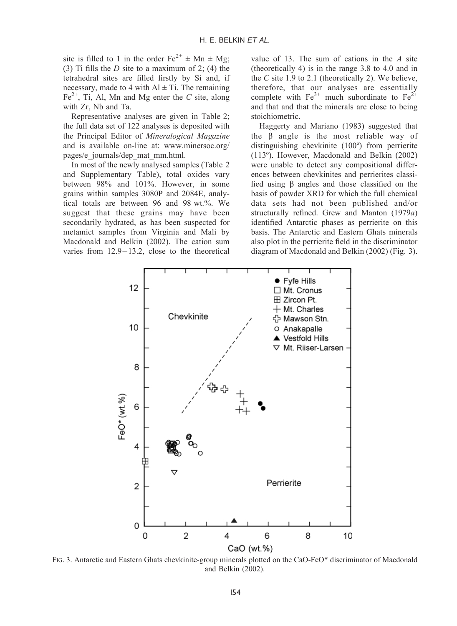site is filled to 1 in the order  $Fe^{2+} \pm Mn \pm Mg$ ; (3) Ti fills the  $D$  site to a maximum of 2; (4) the tetrahedral sites are filled firstly by Si and, if necessary, made to 4 with  $Al \pm Ti$ . The remaining  $Fe<sup>2+</sup>$ , Ti, Al, Mn and Mg enter the C site, along with Zr, Nb and Ta.

Representative analyses are given in Table 2; the full data set of 122 analyses is deposited with the Principal Editor of Mineralogical Magazine and is available on-line at: www.minersoc.org/ pages/e\_journals/dep\_mat\_mm.html.

In most of the newly analysed samples (Table 2 and Supplementary Table), total oxides vary between 98% and 101%. However, in some grains within samples 3080P and 2084E, analytical totals are between 96 and 98 wt.%. We suggest that these grains may have been secondarily hydrated, as has been suspected for metamict samples from Virginia and Mali by Macdonald and Belkin (2002). The cation sum varies from  $12.9-13.2$ , close to the theoretical

value of 13. The sum of cations in the  $A$  site (theoretically 4) is in the range 3.8 to 4.0 and in the  $C$  site 1.9 to 2.1 (theoretically 2). We believe, therefore, that our analyses are essentially complete with  $Fe^{3+}$  much subordinate to  $Fe^{2+}$ and that and that the minerals are close to being stoichiometric.

Haggerty and Mariano (1983) suggested that the  $\beta$  angle is the most reliable way of distinguishing chevkinite (100º) from perrierite (113º). However, Macdonald and Belkin (2002) were unable to detect any compositional differences between chevkinites and perrierites classified using  $\beta$  angles and those classified on the basis of powder XRD for which the full chemical data sets had not been published and/or structurally refined. Grew and Manton (1979a) identified Antarctic phases as perrierite on this basis. The Antarctic and Eastern Ghats minerals also plot in the perrierite field in the discriminator diagram of Macdonald and Belkin (2002) (Fig. 3).



FIG. 3. Antarctic and Eastern Ghats chevkinite-group minerals plotted on the CaO-FeO\* discriminator of Macdonald and Belkin (2002).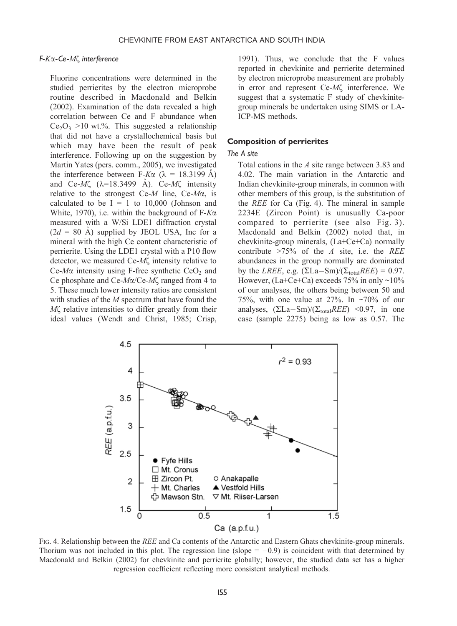### F-Ka-Ce-Mz interference

Fluorine concentrations were determined in the studied perrierites by the electron microprobe routine described in Macdonald and Belkin (2002). Examination of the data revealed a high correlation between Ce and F abundance when  $Ce<sub>2</sub>O<sub>3</sub> >10$  wt.%. This suggested a relationship that did not have a crystallochemical basis but which may have been the result of peak interference. Following up on the suggestion by Martin Yates (pers. comm., 2005), we investigated the interference between F-K $\alpha$  ( $\lambda$  = 18.3199 Å) and Ce- $M\zeta$  ( $\lambda$ =18.3499 Å). Ce- $M\zeta$  intensity relative to the strongest Ce- $M$  line, Ce- $M\alpha$ , is calculated to be  $I = 1$  to 10,000 (Johnson and White, 1970), i.e. within the background of  $F-K\alpha$ measured with a W/Si LDE1 diffraction crystal  $(2d = 80 \text{ A})$  supplied by JEOL USA, Inc for a mineral with the high Ce content characteristic of perrierite. Using the LDE1 crystal with a P10 flow detector, we measured  $Ce-M\zeta$  intensity relative to  $Ce-M\alpha$  intensity using F-free synthetic  $CeO<sub>2</sub>$  and Ce phosphate and Ce- $M\alpha$ /Ce- $M\zeta$  ranged from 4 to 5. These much lower intensity ratios are consistent with studies of the  $M$  spectrum that have found the  $M\zeta$  relative intensities to differ greatly from their ideal values (Wendt and Christ, 1985; Crisp,

1991). Thus, we conclude that the F values reported in chevkinite and perrierite determined by electron microprobe measurement are probably in error and represent Ce-ML interference. We suggest that a systematic F study of chevkinitegroup minerals be undertaken using SIMS or LA-ICP-MS methods.

#### Composition of perrierites

#### The A site

Total cations in the A site range between 3.83 and 4.02. The main variation in the Antarctic and Indian chevkinite-group minerals, in common with other members of this group, is the substitution of the REE for Ca (Fig. 4). The mineral in sample 2234E (Zircon Point) is unusually Ca-poor compared to perrierite (see also Fig. 3). Macdonald and Belkin (2002) noted that, in chevkinite-group minerals, (La+Ce+Ca) normally contribute  $>75\%$  of the A site, i.e. the REE abundances in the group normally are dominated by the *LREE*, e.g.  $(\Sigma La-Sm)/(\Sigma_{total}REE) = 0.97$ . However,  $(La + Ce + Ca)$  exceeds 75% in only ~10% of our analyses, the others being between 50 and 75%, with one value at 27%. In  $\sim$ 70% of our analyses,  $(\Sigma La-Sm)/(\Sigma_{total}REE)$  <0.97, in one case (sample 2275) being as low as 0.57. The



FIG. 4. Relationship between the REE and Ca contents of the Antarctic and Eastern Ghats chevkinite-group minerals. Thorium was not included in this plot. The regression line (slope  $= -0.9$ ) is coincident with that determined by Macdonald and Belkin (2002) for chevkinite and perrierite globally; however, the studied data set has a higher regression coefficient reflecting more consistent analytical methods.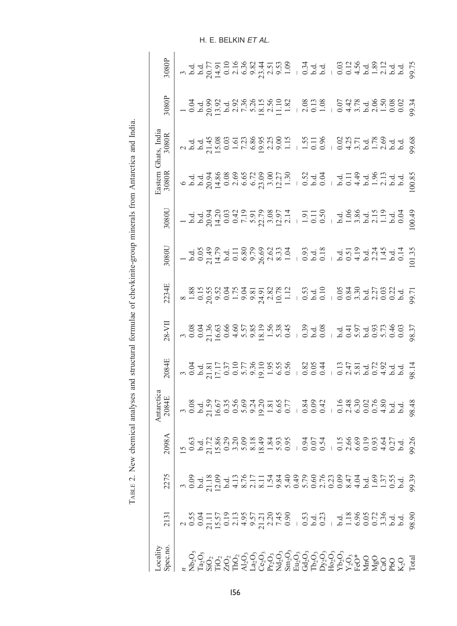| and the state of the state of the state of the state of the state of the state of the state of the state of the state of the state of the state of the state of the state of the state of the state of the state of the state |  | 20984                                                                                 | Antarctic<br>2084E | 2084E                                                                              | $28 - VI$ | 2234E | 1080 | 1080L | $\frac{5}{3080R}$ | ihats, India<br>3080R | <b>8080E</b> | 3080F |
|-------------------------------------------------------------------------------------------------------------------------------------------------------------------------------------------------------------------------------|--|---------------------------------------------------------------------------------------|--------------------|------------------------------------------------------------------------------------|-----------|-------|------|-------|-------------------|-----------------------|--------------|-------|
|                                                                                                                                                                                                                               |  |                                                                                       |                    |                                                                                    |           |       |      |       |                   |                       |              |       |
|                                                                                                                                                                                                                               |  |                                                                                       |                    |                                                                                    |           |       |      |       |                   |                       |              |       |
|                                                                                                                                                                                                                               |  |                                                                                       |                    |                                                                                    |           |       |      |       |                   |                       |              |       |
|                                                                                                                                                                                                                               |  |                                                                                       |                    |                                                                                    |           |       |      |       |                   |                       |              |       |
|                                                                                                                                                                                                                               |  |                                                                                       |                    |                                                                                    |           |       |      |       |                   |                       |              |       |
|                                                                                                                                                                                                                               |  |                                                                                       |                    |                                                                                    |           |       |      |       |                   |                       |              |       |
|                                                                                                                                                                                                                               |  |                                                                                       |                    |                                                                                    |           |       |      |       |                   |                       |              |       |
|                                                                                                                                                                                                                               |  |                                                                                       |                    |                                                                                    |           |       |      |       |                   |                       |              |       |
|                                                                                                                                                                                                                               |  |                                                                                       |                    |                                                                                    |           |       |      |       |                   |                       |              |       |
|                                                                                                                                                                                                                               |  |                                                                                       |                    |                                                                                    |           |       |      |       |                   |                       |              |       |
|                                                                                                                                                                                                                               |  |                                                                                       |                    |                                                                                    |           |       |      |       |                   |                       |              |       |
|                                                                                                                                                                                                                               |  |                                                                                       |                    |                                                                                    |           |       |      |       |                   |                       |              |       |
|                                                                                                                                                                                                                               |  |                                                                                       |                    |                                                                                    |           |       |      |       |                   |                       |              |       |
|                                                                                                                                                                                                                               |  |                                                                                       |                    |                                                                                    |           |       |      |       |                   |                       |              |       |
|                                                                                                                                                                                                                               |  |                                                                                       |                    |                                                                                    |           |       |      |       |                   |                       |              |       |
|                                                                                                                                                                                                                               |  |                                                                                       |                    |                                                                                    |           |       |      |       |                   |                       |              |       |
|                                                                                                                                                                                                                               |  |                                                                                       |                    |                                                                                    |           |       |      |       |                   |                       |              |       |
|                                                                                                                                                                                                                               |  |                                                                                       |                    |                                                                                    |           |       |      |       |                   |                       |              |       |
|                                                                                                                                                                                                                               |  |                                                                                       |                    |                                                                                    |           |       |      |       |                   |                       |              |       |
|                                                                                                                                                                                                                               |  |                                                                                       |                    |                                                                                    |           |       |      |       |                   |                       |              |       |
|                                                                                                                                                                                                                               |  |                                                                                       |                    |                                                                                    |           |       |      |       |                   |                       |              |       |
|                                                                                                                                                                                                                               |  |                                                                                       |                    |                                                                                    |           |       |      |       |                   |                       |              |       |
|                                                                                                                                                                                                                               |  |                                                                                       |                    |                                                                                    |           |       |      |       |                   |                       |              |       |
|                                                                                                                                                                                                                               |  |                                                                                       |                    |                                                                                    |           |       |      |       |                   |                       |              |       |
|                                                                                                                                                                                                                               |  |                                                                                       |                    |                                                                                    |           |       |      |       |                   |                       |              |       |
|                                                                                                                                                                                                                               |  | s dir sang sang sang sang sanggang sang<br>Rotin sang sang sang sang sang sanggang sa |                    | a dia 1752<br>2010 - 1952 - 1963 1964<br>2010 - 1964 1975 1984 1985 1986 1981 1982 |           |       |      |       |                   |                       |              |       |
|                                                                                                                                                                                                                               |  |                                                                                       |                    |                                                                                    |           |       |      |       |                   |                       |              |       |

TABLE 2. New chemical analyses and structural formulae of chevkinite-group minerals from Antarctica and India. TABLE 2. New chemical analyses and structural formulae of chevkinite-group minerals from Antarctica and India.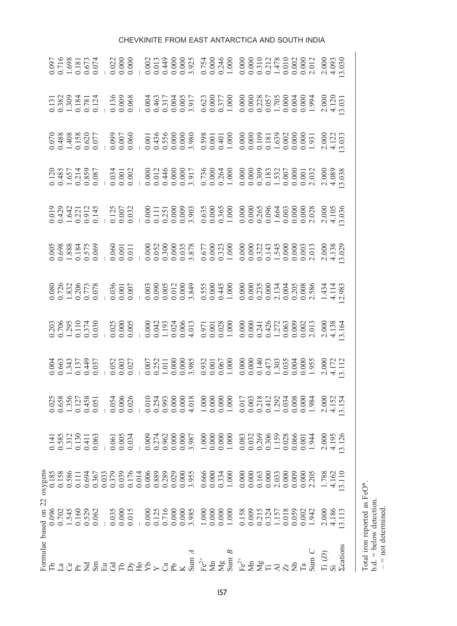| Formulae based on 22 |  |  |  |  |  |  |  |
|----------------------|--|--|--|--|--|--|--|
|                      |  |  |  |  |  |  |  |
|                      |  |  |  |  |  |  |  |
|                      |  |  |  |  |  |  |  |
|                      |  |  |  |  |  |  |  |
|                      |  |  |  |  |  |  |  |
|                      |  |  |  |  |  |  |  |
|                      |  |  |  |  |  |  |  |
|                      |  |  |  |  |  |  |  |
|                      |  |  |  |  |  |  |  |
|                      |  |  |  |  |  |  |  |
|                      |  |  |  |  |  |  |  |
|                      |  |  |  |  |  |  |  |
|                      |  |  |  |  |  |  |  |
|                      |  |  |  |  |  |  |  |
|                      |  |  |  |  |  |  |  |
|                      |  |  |  |  |  |  |  |
|                      |  |  |  |  |  |  |  |
|                      |  |  |  |  |  |  |  |
|                      |  |  |  |  |  |  |  |
|                      |  |  |  |  |  |  |  |
|                      |  |  |  |  |  |  |  |
|                      |  |  |  |  |  |  |  |
|                      |  |  |  |  |  |  |  |
|                      |  |  |  |  |  |  |  |
|                      |  |  |  |  |  |  |  |
|                      |  |  |  |  |  |  |  |
|                      |  |  |  |  |  |  |  |
|                      |  |  |  |  |  |  |  |
|                      |  |  |  |  |  |  |  |
|                      |  |  |  |  |  |  |  |
|                      |  |  |  |  |  |  |  |
|                      |  |  |  |  |  |  |  |
|                      |  |  |  |  |  |  |  |
|                      |  |  |  |  |  |  |  |

# CHEVKINITE FROM EAST ANTARCTICA AND SOUTH INDIA

Total iron reported as FeO\*. b.d. = below detection.  $-$  = not determined.

Total iron reported as FeO\*.<br>b.d. = below detection.<br> $-$  = not determined.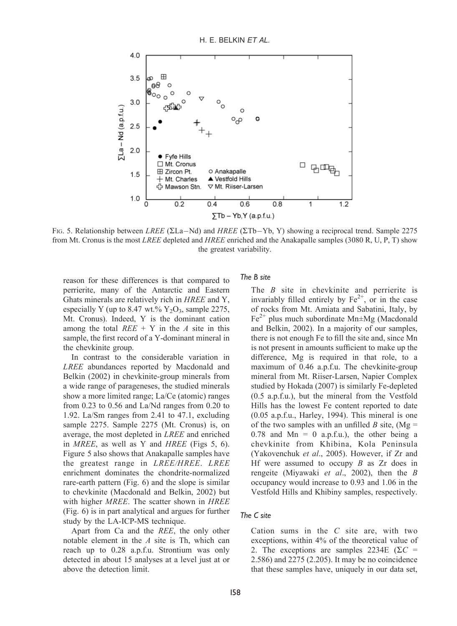

FIG. 5. Relationship between LREE ( $\Sigma La-Nd$ ) and HREE ( $\Sigma Tb-Yb$ , Y) showing a reciprocal trend. Sample 2275 from Mt. Cronus is the most LREE depleted and HREE enriched and the Anakapalle samples (3080 R, U, P, T) show the greatest variability.

reason for these differences is that compared to perrierite, many of the Antarctic and Eastern Ghats minerals are relatively rich in HREE and Y, especially Y (up to 8.47 wt.%  $Y_2O_3$ , sample 2275, Mt. Cronus). Indeed, Y is the dominant cation among the total  $REE + Y$  in the A site in this sample, the first record of a Y-dominant mineral in the chevkinite group.

In contrast to the considerable variation in LREE abundances reported by Macdonald and Belkin (2002) in chevkinite-group minerals from a wide range of parageneses, the studied minerals show a more limited range; La/Ce (atomic) ranges from 0.23 to 0.56 and La/Nd ranges from 0.20 to 1.92. La/Sm ranges from 2.41 to 47.1, excluding sample 2275. Sample 2275 (Mt. Cronus) is, on average, the most depleted in LREE and enriched in MREE, as well as Y and HREE (Figs 5, 6). Figure 5 also shows that Anakapalle samples have the greatest range in LREE/HREE. LREE enrichment dominates the chondrite-normalized rare-earth pattern (Fig. 6) and the slope is similar to chevkinite (Macdonald and Belkin, 2002) but with higher *MREE*. The scatter shown in *HREE* (Fig. 6) is in part analytical and argues for further study by the LA-ICP-MS technique.

Apart from Ca and the REE, the only other notable element in the A site is Th, which can reach up to 0.28 a.p.f.u. Strontium was only detected in about 15 analyses at a level just at or above the detection limit.

# The B site

The  $B$  site in chevkinite and perrierite is invariably filled entirely by  $Fe^{2+}$ , or in the case of rocks from Mt. Amiata and Sabatini, Italy, by  $Fe<sup>2+</sup>$  plus much subordinate Mn $\pm$ Mg (Macdonald and Belkin, 2002). In a majority of our samples, there is not enough Fe to fill the site and, since Mn is not present in amounts sufficient to make up the difference, Mg is required in that role, to a maximum of 0.46 a.p.f.u. The chevkinite-group mineral from Mt. Riiser-Larsen, Napier Complex studied by Hokada (2007) is similarly Fe-depleted (0.5 a.p.f.u.), but the mineral from the Vestfold Hills has the lowest Fe content reported to date (0.05 a.p.f.u., Harley, 1994). This mineral is one of the two samples with an unfilled B site, (Mg = 0.78 and  $Mn = 0$  a.p.f.u.), the other being a chevkinite from Khibina, Kola Peninsula (Yakovenchuk et al., 2005). However, if Zr and Hf were assumed to occupy  $B$  as  $Zr$  does in rengeite (Miyawaki et al., 2002), then the B occupancy would increase to 0.93 and 1.06 in the Vestfold Hills and Khibiny samples, respectively.

#### The C site

Cation sums in the  $C$  site are, with two exceptions, within 4% of the theoretical value of 2. The exceptions are samples 2234E ( $\Sigma C$  = 2.586) and 2275 (2.205). It may be no coincidence that these samples have, uniquely in our data set,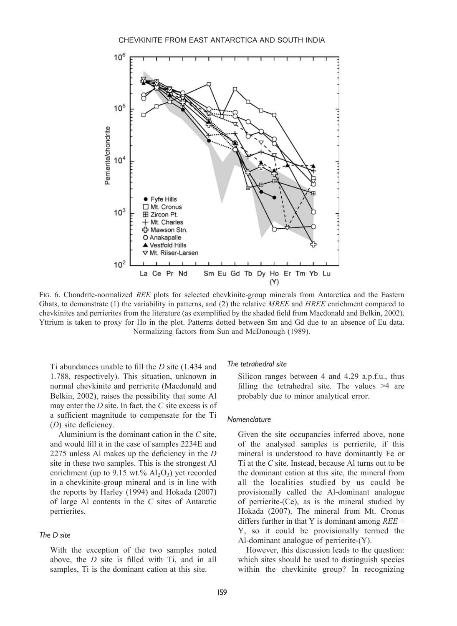

FIG. 6. Chondrite-normalized REE plots for selected chevkinite-group minerals from Antarctica and the Eastern Ghats, to demonstrate (1) the variability in patterns, and (2) the relative MREE and HREE enrichment compared to chevkinites and perrierites from the literature (as exemplified by the shaded field from Macdonald and Belkin, 2002). Yttrium is taken to proxy for Ho in the plot. Patterns dotted between Sm and Gd due to an absence of Eu data. Normalizing factors from Sun and McDonough (1989).

Ti abundances unable to fill the D site (1.434 and 1.788, respectively). This situation, unknown in normal chevkinite and perrierite (Macdonald and Belkin, 2002), raises the possibility that some Al may enter the  $D$  site. In fact, the  $C$  site excess is of a sufficient magnitude to compensate for the Ti (D) site deficiency.

Aluminium is the dominant cation in the  $C$  site. and would fill it in the case of samples 2234E and 2275 unless Al makes up the deficiency in the D site in these two samples. This is the strongest Al enrichment (up to 9.15 wt.%  $Al_2O_3$ ) yet recorded in a chevkinite-group mineral and is in line with the reports by Harley (1994) and Hokada (2007) of large Al contents in the C sites of Antarctic perrierites.

# The D site

With the exception of the two samples noted above, the D site is filled with Ti, and in all samples, Ti is the dominant cation at this site.

# The tetrahedral site

Silicon ranges between 4 and 4.29 a.p.f.u., thus filling the tetrahedral site. The values >4 are probably due to minor analytical error.

#### Nomenclature

Given the site occupancies inferred above, none of the analysed samples is perrierite, if this mineral is understood to have dominantly Fe or Ti at the C site. Instead, because Al turns out to be the dominant cation at this site, the mineral from all the localities studied by us could be provisionally called the Al-dominant analogue of perrierite-(Ce), as is the mineral studied by Hokada (2007). The mineral from Mt. Cronus differs further in that Y is dominant among  $REE +$ Y, so it could be provisionally termed the Al-dominant analogue of perrierite-(Y).

However, this discussion leads to the question: which sites should be used to distinguish species within the chevkinite group? In recognizing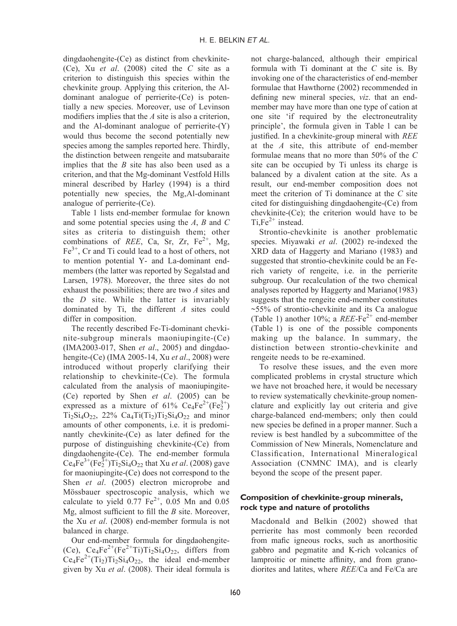dingdaohengite-(Ce) as distinct from chevkinite- (Ce), Xu et al. (2008) cited the C site as a criterion to distinguish this species within the chevkinite group. Applying this criterion, the Aldominant analogue of perrierite-(Ce) is potentially a new species. Moreover, use of Levinson modifiers implies that the A site is also a criterion. and the Al-dominant analogue of perrierite-(Y) would thus become the second potentially new species among the samples reported here. Thirdly, the distinction between rengeite and matsubaraite implies that the  $B$  site has also been used as a criterion, and that the Mg-dominant Vestfold Hills mineral described by Harley (1994) is a third potentially new species, the Mg,Al-dominant analogue of perrierite-(Ce).

Table 1 lists end-member formulae for known and some potential species using the A, B and C sites as criteria to distinguish them; other combinations of REE, Ca, Sr, Zr,  $Fe^{2+}$ , Mg,  $Fe<sup>3+</sup>$ , Cr and Ti could lead to a host of others, not to mention potential Y- and La-dominant endmembers (the latter was reported by Segalstad and Larsen, 1978). Moreover, the three sites do not exhaust the possibilities; there are two A sites and the D site. While the latter is invariably dominated by Ti, the different A sites could differ in composition.

The recently described Fe-Ti-dominant chevkinite-subgroup minerals maoniupingite-(Ce) (IMA2003-017, Shen et al., 2005) and dingdaohengite-(Ce) (IMA 2005-14, Xu et al., 2008) were introduced without properly clarifying their relationship to chevkinite-(Ce). The formula calculated from the analysis of maoniupingite- (Ce) reported by Shen et al. (2005) can be expressed as a mixture of  $61\%$  Ce<sub>4</sub>Fe<sup>2+</sup>(Fe<sub>2</sub><sup>+</sup>)  $Ti_2Si_4O_{22}$ ,  $22\%$   $Ca_4Ti(Ti_2)Ti_2Si_4O_{22}$  and minor amounts of other components, i.e. it is predominantly chevkinite-(Ce) as later defined for the purpose of distinguishing chevkinite-(Ce) from dingdaohengite-(Ce). The end-member formula  $Ce_4Fe^{3+}(Fe_2^{3+})Ti_2Si_4O_{22}$  that Xu *et al.* (2008) gave for maoniupingite-(Ce) does not correspond to the Shen et al. (2005) electron microprobe and Mössbauer spectroscopic analysis, which we calculate to yield  $0.77 \text{ Fe}^{2+}$ ,  $0.05 \text{ Mn}$  and  $0.05$ Mg, almost sufficient to fill the  $B$  site. Moreover, the Xu et al. (2008) end-member formula is not balanced in charge.

Our end-member formula for dingdaohengite- (Ce),  $Ce_4Fe^{2+}(Fe^{2+}Ti)Ti_2Si_4O_{22}$ , differs from  $Ce_4Fe^{2+}(Ti_2)Ti_2Si_4O_{22}$ , the ideal end-member given by Xu et al. (2008). Their ideal formula is not charge-balanced, although their empirical formula with Ti dominant at the C site is. By invoking one of the characteristics of end-member formulae that Hawthorne (2002) recommended in defining new mineral species, viz. that an endmember may have more than one type of cation at one site 'if required by the electroneutrality principle', the formula given in Table 1 can be justified. In a chevkinite-group mineral with REE at the A site, this attribute of end-member formulae means that no more than 50% of the C site can be occupied by Ti unless its charge is balanced by a divalent cation at the site. As a result, our end-member composition does not meet the criterion of Ti dominance at the C site cited for distinguishing dingdaohengite-(Ce) from chevkinite-(Ce); the criterion would have to be Ti, $Fe<sup>2+</sup>$  instead.

Strontio-chevkinite is another problematic species. Miyawaki et al. (2002) re-indexed the XRD data of Haggerty and Mariano (1983) and suggested that strontio-chevkinite could be an Ferich variety of rengeite, i.e. in the perrierite subgroup. Our recalculation of the two chemical analyses reported by Haggerty and Mariano(1983) suggests that the rengeite end-member constitutes ~55% of strontio-chevkinite and its Ca analogue (Table 1) another 10%; a  $REE-Fe^{2+}$  end-member (Table 1) is one of the possible components making up the balance. In summary, the distinction between strontio-chevkinite and rengeite needs to be re-examined.

To resolve these issues, and the even more complicated problems in crystal structure which we have not broached here, it would be necessary to review systematically chevkinite-group nomenclature and explicitly lay out criteria and give charge-balanced end-members; only then could new species be defined in a proper manner. Such a review is best handled by a subcommittee of the Commission of New Minerals, Nomenclature and Classification, International Mineralogical Association (CNMNC IMA), and is clearly beyond the scope of the present paper.

# Composition of chevkinite-group minerals, rock type and nature of protoliths

Macdonald and Belkin (2002) showed that perrierite has most commonly been recorded from mafic igneous rocks, such as anorthositic gabbro and pegmatite and K-rich volcanics of lamproitic or minette affinity, and from granodiorites and latites, where REE/Ca and Fe/Ca are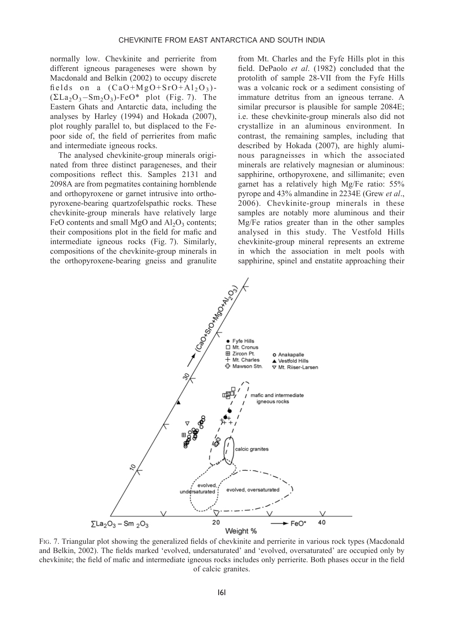normally low. Chevkinite and perrierite from different igneous parageneses were shown by Macdonald and Belkin (2002) to occupy discrete fields on a  $(CaO+MgO+SrO+A1<sub>2</sub>O<sub>3</sub>)$ - $(\Sigma La_2O_3-Sm_2O_3)$ -FeO\* plot (Fig. 7). The Eastern Ghats and Antarctic data, including the analyses by Harley (1994) and Hokada (2007), plot roughly parallel to, but displaced to the Fepoor side of, the field of perrierites from mafic and intermediate igneous rocks.

The analysed chevkinite-group minerals originated from three distinct parageneses, and their compositions reflect this. Samples 2131 and 2098A are from pegmatites containing hornblende and orthopyroxene or garnet intrusive into orthopyroxene-bearing quartzofelspathic rocks. These chevkinite-group minerals have relatively large FeO contents and small MgO and  $Al_2O_3$  contents; their compositions plot in the field for mafic and intermediate igneous rocks (Fig. 7). Similarly, compositions of the chevkinite-group minerals in the orthopyroxene-bearing gneiss and granulite

from Mt. Charles and the Fyfe Hills plot in this field. DePaolo et al. (1982) concluded that the protolith of sample 28-VII from the Fyfe Hills was a volcanic rock or a sediment consisting of immature detritus from an igneous terrane. A similar precursor is plausible for sample 2084E; i.e. these chevkinite-group minerals also did not crystallize in an aluminous environment. In contrast, the remaining samples, including that described by Hokada (2007), are highly aluminous paragneisses in which the associated minerals are relatively magnesian or aluminous: sapphirine, orthopyroxene, and sillimanite; even garnet has a relatively high Mg/Fe ratio: 55% pyrope and 43% almandine in 2234E (Grew et al., 2006). Chevkinite-group minerals in these samples are notably more aluminous and their Mg/Fe ratios greater than in the other samples analysed in this study. The Vestfold Hills chevkinite-group mineral represents an extreme in which the association in melt pools with sapphirine, spinel and enstatite approaching their



FIG. 7. Triangular plot showing the generalized fields of chevkinite and perrierite in various rock types (Macdonald and Belkin, 2002). The fields marked 'evolved, undersaturated' and 'evolved, oversaturated' are occupied only by chevkinite; the field of mafic and intermediate igneous rocks includes only perrierite. Both phases occur in the field of calcic granites.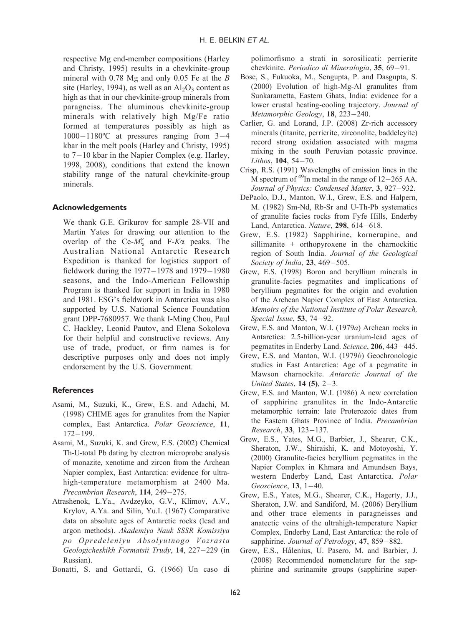respective Mg end-member compositions (Harley and Christy, 1995) results in a chevkinite-group mineral with 0.78 Mg and only 0.05 Fe at the B site (Harley, 1994), as well as an  $\text{Al}_2\text{O}_3$  content as high as that in our chevkinite-group minerals from paragneiss. The aluminous chevkinite-group minerals with relatively high Mg/Fe ratio formed at temperatures possibly as high as  $1000-1180$ <sup>o</sup>C at pressures ranging from  $3-4$ kbar in the melt pools (Harley and Christy, 1995) to  $7-10$  kbar in the Napier Complex (e.g. Harley, 1998, 2008), conditions that extend the known stability range of the natural chevkinite-group minerals.

# Acknowledgements

We thank G.E. Grikurov for sample 28-VII and Martin Yates for drawing our attention to the overlap of the Ce- $M\zeta$  and F- $K\alpha$  peaks. The Australian National Antarctic Research Expedition is thanked for logistics support of fieldwork during the  $1977-1978$  and  $1979-1980$ seasons, and the Indo-American Fellowship Program is thanked for support in India in 1980 and 1981. ESG's fieldwork in Antarctica was also supported by U.S. National Science Foundation grant DPP-7680957. We thank I-Ming Chou, Paul C. Hackley, Leonid Pautov, and Elena Sokolova for their helpful and constructive reviews. Any use of trade, product, or firm names is for descriptive purposes only and does not imply endorsement by the U.S. Government.

## **References**

- Asami, M., Suzuki, K., Grew, E.S. and Adachi, M. (1998) CHIME ages for granulites from the Napier complex, East Antarctica. Polar Geoscience, 11,  $172 - 199.$
- Asami, M., Suzuki, K. and Grew, E.S. (2002) Chemical Th-U-total Pb dating by electron microprobe analysis of monazite, xenotime and zircon from the Archean Napier complex, East Antarctica: evidence for ultrahigh-temperature metamorphism at 2400 Ma. Precambrian Research, 114, 249-275.
- Atrashenok, L.Ya., Avdzeyko, G.V., Klimov, A.V., Krylov, A.Ya. and Silin, Yu.I. (1967) Comparative data on absolute ages of Antarctic rocks (lead and argon methods). Akademiya Nauk SSSR Komissiya po Opredeleniyu Absolyutnogo Vozrasta Geologicheskikh Formatsii Trudy, 14, 227-229 (in Russian).
- Bonatti, S. and Gottardi, G. (1966) Un caso di

polimorfismo a strati in sorosilicati: perrierite chevkinite. Periodico di Mineralogia, 35, 69-91.

- Bose, S., Fukuoka, M., Sengupta, P. and Dasgupta, S. (2000) Evolution of high-Mg-Al granulites from Sunkarametta, Eastern Ghats, India: evidence for a lower crustal heating-cooling trajectory. Journal of Metamorphic Geology, 18, 223-240.
- Carlier, G. and Lorand, J.P. (2008) Zr-rich accessory minerals (titanite, perrierite, zirconolite, baddeleyite) record strong oxidation associated with magma mixing in the south Peruvian potassic province. Lithos, 104, 54-70.
- Crisp, R.S. (1991) Wavelengths of emission lines in the M spectrum of  $^{49}$ In metal in the range of 12–265 AA. Journal of Physics: Condensed Matter, 3, 927-932.
- DePaolo, D.J., Manton, W.I., Grew, E.S. and Halpern, M. (1982) Sm-Nd, Rb-Sr and U-Th-Pb systematics of granulite facies rocks from Fyfe Hills, Enderby Land, Antarctica. Nature,  $298$ ,  $614-618$ .
- Grew, E.S. (1982) Sapphirine, kornerupine, and sillimanite + orthopyroxene in the charnockitic region of South India. Journal of the Geological Society of India,  $23, 469 - 505$ .
- Grew, E.S. (1998) Boron and beryllium minerals in granulite-facies pegmatites and implications of beryllium pegmatites for the origin and evolution of the Archean Napier Complex of East Antarctica. Memoirs of the National Institute of Polar Research, Special Issue,  $53, 74-92$ .
- Grew, E.S. and Manton, W.I. (1979a) Archean rocks in Antarctica: 2.5-billion-year uranium-lead ages of pegmatites in Enderby Land. Science, 206, 443-445.
- Grew, E.S. and Manton, W.I. (1979b) Geochronologic studies in East Antarctica: Age of a pegmatite in Mawson charnockite. Antarctic Journal of the United States,  $14$  (5),  $2-3$ .
- Grew, E.S. and Manton, W.I. (1986) A new correlation of sapphirine granulites in the Indo-Antarctic metamorphic terrain: late Proterozoic dates from the Eastern Ghats Province of India. Precambrian Research, 33, 123-137.
- Grew, E.S., Yates, M.G., Barbier, J., Shearer, C.K., Sheraton, J.W., Shiraishi, K. and Motoyoshi, Y. (2000) Granulite-facies beryllium pegmatites in the Napier Complex in Khmara and Amundsen Bays, western Enderby Land, East Antarctica. Polar Geoscience,  $13, 1-40$ .
- Grew, E.S., Yates, M.G., Shearer, C.K., Hagerty, J.J., Sheraton, J.W. and Sandiford, M. (2006) Beryllium and other trace elements in paragneisses and anatectic veins of the ultrahigh-temperature Napier Complex, Enderby Land, East Antarctica: the role of sapphirine. Journal of Petrology, 47, 859-882.
- Grew, E.S., Hålenius, U. Pasero, M. and Barbier, J. (2008) Recommended nomenclature for the sapphirine and surinamite groups (sapphirine super-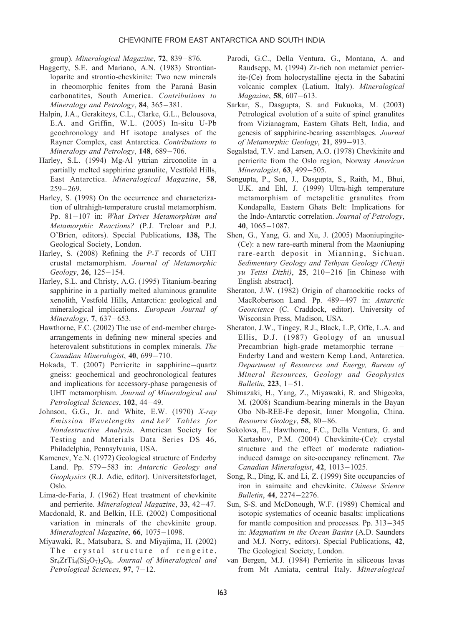group). Mineralogical Magazine, 72, 839-876.

- Haggerty, S.E. and Mariano, A.N. (1983) Strontianloparite and strontio-chevkinite: Two new minerals in rheomorphic fenites from the Paraná Basin carbonatites, South America. Contributions to Mineralogy and Petrology, 84, 365-381.
- Halpin, J.A., Gerakiteys, C.L., Clarke, G.L., Belousova, E.A. and Griffin, W.L. (2005) In-situ U-Pb geochronology and Hf isotope analyses of the Rayner Complex, east Antarctica. Contributions to Mineralogy and Petrology, 148, 689-706.
- Harley, S.L. (1994) Mg-Al yttrian zirconolite in a partially melted sapphirine granulite, Vestfold Hills, East Antarctica. Mineralogical Magazine, 58,  $259 - 269.$
- Harley, S. (1998) On the occurrence and characterization of ultrahigh-temperature crustal metamorphism. Pp.  $81-107$  in: What Drives Metamorphism and Metamorphic Reactions? (P.J. Treloar and P.J. O'Brien, editors). Special Publications, 138, The Geological Society, London.
- Harley, S. (2008) Refining the P-T records of UHT crustal metamorphism. Journal of Metamorphic Geology, 26, 125-154.
- Harley, S.L. and Christy, A.G. (1995) Titanium-bearing sapphirine in a partially melted aluminous granulite xenolith, Vestfold Hills, Antarctica: geological and mineralogical implications. European Journal of Mineralogy, 7, 637-653.
- Hawthorne, F.C. (2002) The use of end-member chargearrangements in defining new mineral species and heterovalent substitutions in complex minerals. The Canadian Mineralogist, 40, 699-710.
- Hokada, T. (2007) Perrierite in sapphirine-quartz gneiss: geochemical and geochronological features and implications for accessory-phase paragenesis of UHT metamorphism. Journal of Mineralogical and Petrological Sciences, 102, 44-49.
- Johnson, G.G., Jr. and White, E.W. (1970) X-ray Emission Wavelengths and keV Tables for Nondestructive Analysis. American Society for Testing and Materials Data Series DS 46, Philadelphia, Pennsylvania, USA.
- Kamenev, Ye.N. (1972) Geological structure of Enderby Land. Pp. 579-583 in: Antarctic Geology and Geophysics (R.J. Adie, editor). Universitetsforlaget, Oslo.
- Lima-de-Faria, J. (1962) Heat treatment of chevkinite and perrierite. Mineralogical Magazine, 33, 42-47.
- Macdonald, R. and Belkin, H.E. (2002) Compositional variation in minerals of the chevkinite group. Mineralogical Magazine, 66, 1075-1098.
- Miyawaki, R., Matsubara, S. and Miyajima, H. (2002) The crystal structure of rengeite,  $Sr_4ZrTi_4(Si_2O_7)_2O_8$ . Journal of Mineralogical and Petrological Sciences,  $97, 7-12.$
- Parodi, G.C., Della Ventura, G., Montana, A. and Raudsepp, M. (1994) Zr-rich non metamict perrierite-(Ce) from holocrystalline ejecta in the Sabatini volcanic complex (Latium, Italy). Mineralogical Magazine, 58, 607-613.
- Sarkar, S., Dasgupta, S. and Fukuoka, M. (2003) Petrological evolution of a suite of spinel granulites from Vizianagram, Eastern Ghats Belt, India, and genesis of sapphirine-bearing assemblages. Journal of Metamorphic Geology, 21, 899-913.
- Segalstad, T.V. and Larsen, A.O. (1978) Chevkinite and perrierite from the Oslo region, Norway American Mineralogist,  $63$ ,  $499-505$ .
- Sengupta, P., Sen, J., Dasgupta, S., Raith, M., Bhui, U.K. and Ehl, J. (1999) Ultra-high temperature metamorphism of metapelitic granulites from Kondapalle, Eastern Ghats Belt: Implications for the Indo-Antarctic correlation. Journal of Petrology, 40,  $1065 - 1087$ .
- Shen, G., Yang, G. and Xu, J. (2005) Maoniupingite- (Ce): a new rare-earth mineral from the Maoniuping rare-earth deposit in Mianning, Sichuan. Sedimentary Geology and Tethyan Geology (Chenji yu Tetisi Dizhi), 25, 210-216 [in Chinese with English abstract].
- Sheraton, J.W. (1982) Origin of charnockitic rocks of MacRobertson Land. Pp. 489-497 in: Antarctic Geoscience (C. Craddock, editor). University of Wisconsin Press, Madison, USA.
- Sheraton, J.W., Tingey, R.J., Black, L.P, Offe, L.A. and Ellis, D.J. (1987) Geology of an unusual Precambrian high-grade metamorphic terrane Enderby Land and western Kemp Land, Antarctica. Department of Resources and Energy, Bureau of Mineral Resources, Geology and Geophysics Bulletin,  $223, 1-51$ .
- Shimazaki, H., Yang, Z., Miyawaki, R. and Shigeoka, M. (2008) Scandium-bearing minerals in the Bayan Obo Nb-REE-Fe deposit, Inner Mongolia, China. Resource Geology,  $58$ ,  $80-86$ .
- Sokolova, E., Hawthorne, F.C., Della Ventura, G. and Kartashov, P.M. (2004) Chevkinite-(Ce): crystal structure and the effect of moderate radiationinduced damage on site-occupancy refinement. The Canadian Mineralogist,  $42$ ,  $1013-1025$ .
- Song, R., Ding, K. and Li, Z. (1999) Site occupancies of iron in saimaite and chevkinite. Chinese Science Bulletin, 44, 2274-2276.
- Sun, S-S. and McDonough, W.F. (1989) Chemical and isotopic systematics of oceanic basalts: implications for mantle composition and processes. Pp.  $313-345$ in: Magmatism in the Ocean Basins (A.D. Saunders and M.J. Norry, editors). Special Publications, 42, The Geological Society, London.
- van Bergen, M.J. (1984) Perrierite in siliceous lavas from Mt Amiata, central Italy. Mineralogical